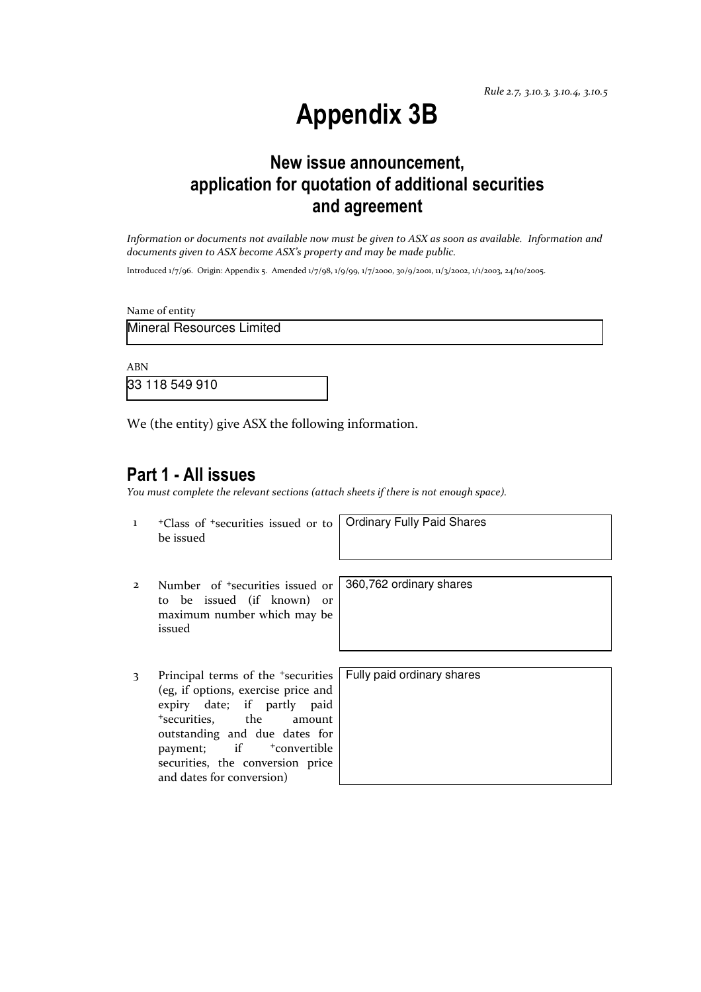Rule 2.7, 3.10.3, 3.10.4, 3.10.5

# Appendix 3B

# New issue announcement, application for quotation of additional securities and agreement

Information or documents not available now must be given to ASX as soon as available. Information and documents given to ASX become ASX's property and may be made public.

Introduced 1/7/96. Origin: Appendix 5. Amended 1/7/98, 1/9/99, 1/7/2000, 30/9/2001, 11/3/2002, 1/1/2003, 24/10/2005.

Name of entity

Mineral Resources Limited

ABN

33 118 549 910

We (the entity) give ASX the following information.

## Part 1 - All issues

You must complete the relevant sections (attach sheets if there is not enough space).

1 +Class of +securities issued or to be issued

Ordinary Fully Paid Shares

360,762 ordinary shares

- 2 Number of +securities issued or to be issued (if known) or maximum number which may be issued
- 3 Principal terms of the <sup>+</sup>securities (eg, if options, exercise price and expiry date; if partly paid <sup>+</sup>securities, the amount outstanding and due dates for payment; if  $+$ convertible securities, the conversion price and dates for conversion)

Fully paid ordinary shares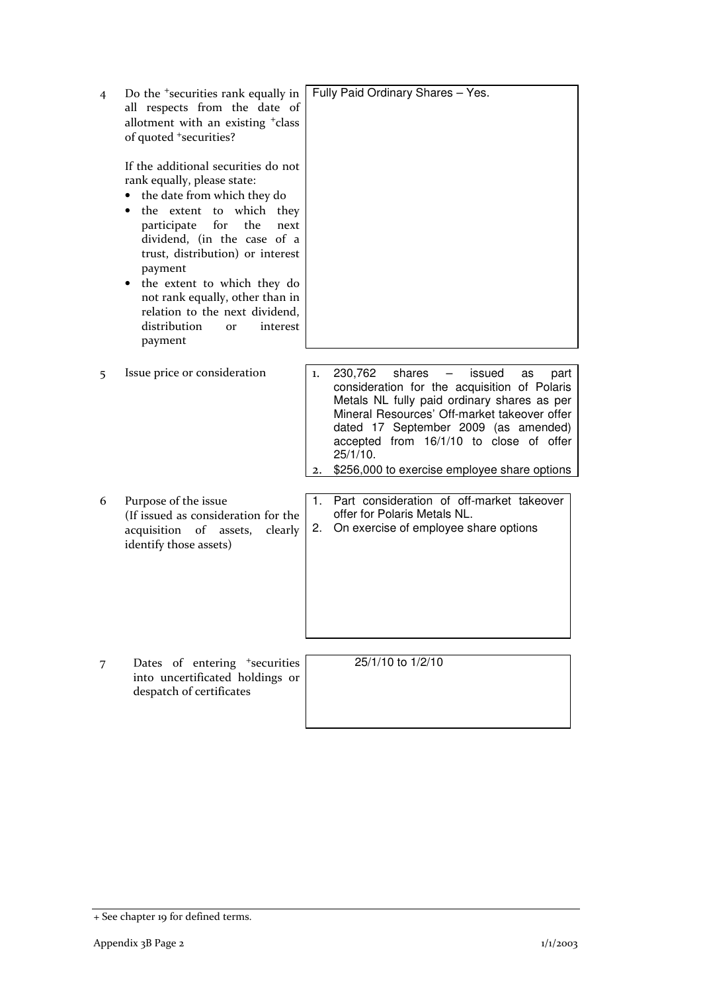| 4 | Do the <sup>+</sup> securities rank equally in<br>all respects from the date of<br>allotment with an existing <sup>+</sup> class<br>of quoted *securities?                                                                                                                                                                                                                                                  | Fully Paid Ordinary Shares - Yes.                                                                                                                                                                                                                                                                                                                                               |
|---|-------------------------------------------------------------------------------------------------------------------------------------------------------------------------------------------------------------------------------------------------------------------------------------------------------------------------------------------------------------------------------------------------------------|---------------------------------------------------------------------------------------------------------------------------------------------------------------------------------------------------------------------------------------------------------------------------------------------------------------------------------------------------------------------------------|
|   | If the additional securities do not<br>rank equally, please state:<br>the date from which they do<br>the extent to<br>which they<br>participate<br>for<br>the<br>next<br>dividend, (in the case of a<br>trust, distribution) or interest<br>payment<br>the extent to which they do<br>not rank equally, other than in<br>relation to the next dividend,<br>distribution<br>interest<br><b>or</b><br>payment |                                                                                                                                                                                                                                                                                                                                                                                 |
| 5 | Issue price or consideration                                                                                                                                                                                                                                                                                                                                                                                | 230,762<br>shares<br>issued<br>1.<br>$\overline{\phantom{m}}$<br>as<br>part<br>consideration for the acquisition of Polaris<br>Metals NL fully paid ordinary shares as per<br>Mineral Resources' Off-market takeover offer<br>dated 17 September 2009 (as amended)<br>accepted from 16/1/10 to close of offer<br>25/1/10.<br>\$256,000 to exercise employee share options<br>2. |
| 6 | Purpose of the issue<br>(If issued as consideration for the<br>acquisition of assets,<br>clearly<br>identify those assets)                                                                                                                                                                                                                                                                                  | Part consideration of off-market takeover<br>1.<br>offer for Polaris Metals NL.<br>On exercise of employee share options<br>2.                                                                                                                                                                                                                                                  |
| 7 | Dates of entering <sup>+</sup> securities<br>into uncertificated holdings or<br>despatch of certificates                                                                                                                                                                                                                                                                                                    | 25/1/10 to 1/2/10                                                                                                                                                                                                                                                                                                                                                               |

<sup>+</sup> See chapter 19 for defined terms.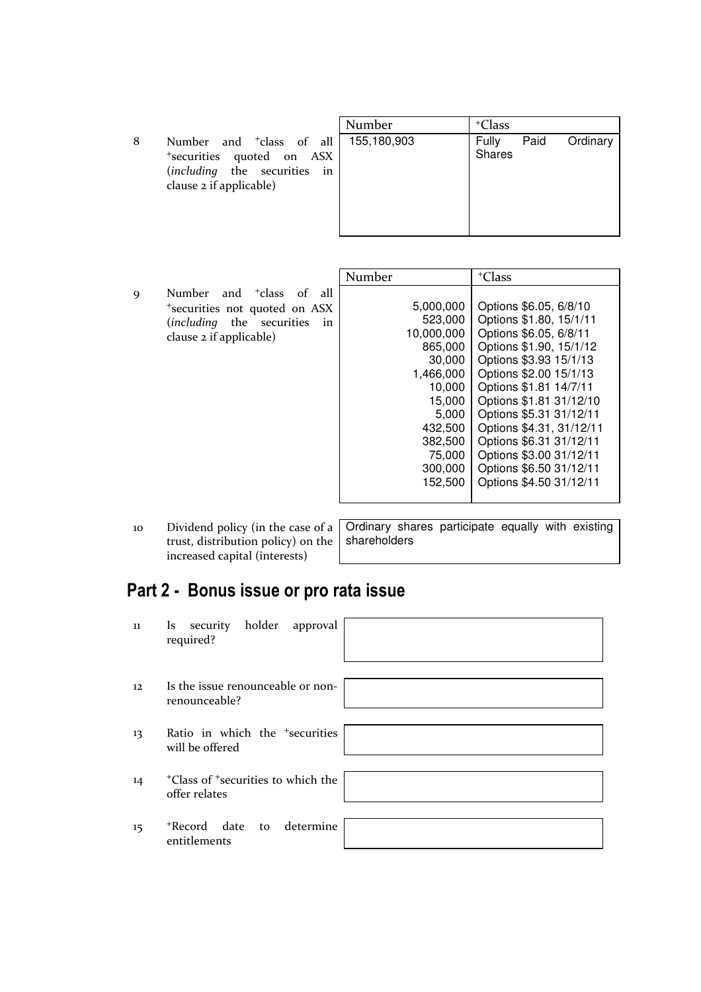|   |                                                                                                                              | Number      | <sup>+</sup> Class                  |
|---|------------------------------------------------------------------------------------------------------------------------------|-------------|-------------------------------------|
| 8 | Number and <sup>+</sup> class of all<br>*securities quoted on ASX<br>(including the securities in<br>clause 2 if applicable) | 155,180,903 | Paid<br>Fully<br>Ordinary<br>Shares |

|   |                                         | Number     | <sup>+</sup> Class       |
|---|-----------------------------------------|------------|--------------------------|
| 9 | Number and <sup>+</sup> class of<br>all |            |                          |
|   | *securities not quoted on ASX           | 5,000,000  | Options \$6.05, 6/8/10   |
|   | (including the securities<br>in         | 523,000    | Options \$1.80, 15/1/11  |
|   | clause 2 if applicable)                 | 10,000,000 | Options \$6.05, 6/8/11   |
|   |                                         | 865,000    | Options \$1.90, 15/1/12  |
|   |                                         | 30,000     | Options \$3.93 15/1/13   |
|   |                                         | 1,466,000  | Options \$2.00 15/1/13   |
|   |                                         | 10,000     | Options \$1.81 14/7/11   |
|   |                                         | 15,000     | Options \$1.81 31/12/10  |
|   |                                         | 5,000      | Options \$5.31 31/12/11  |
|   |                                         | 432,500    | Options \$4.31, 31/12/11 |
|   |                                         | 382,500    | Options \$6.31 31/12/11  |
|   |                                         | 75.000     | Options \$3.00 31/12/11  |
|   |                                         | 300,000    | Options \$6.50 31/12/11  |
|   |                                         | 152.500    | Options \$4.50 31/12/11  |
|   |                                         |            |                          |

10 Dividend policy (in the case of a trust, distribution policy) on the increased capital (interests)

Ordinary shares participate equally with existing shareholders

# Part 2 - Bonus issue or pro rata issue

| 11 | Is security holder approval<br>required?                                    |
|----|-----------------------------------------------------------------------------|
| 12 | Is the issue renounceable or non-<br>renounceable?                          |
| 13 | Ratio in which the <sup>+</sup> securities<br>will be offered               |
| 14 | <sup>+</sup> Class of <sup>+</sup> securities to which the<br>offer relates |
| 15 | *Record date to determine<br>entitlements                                   |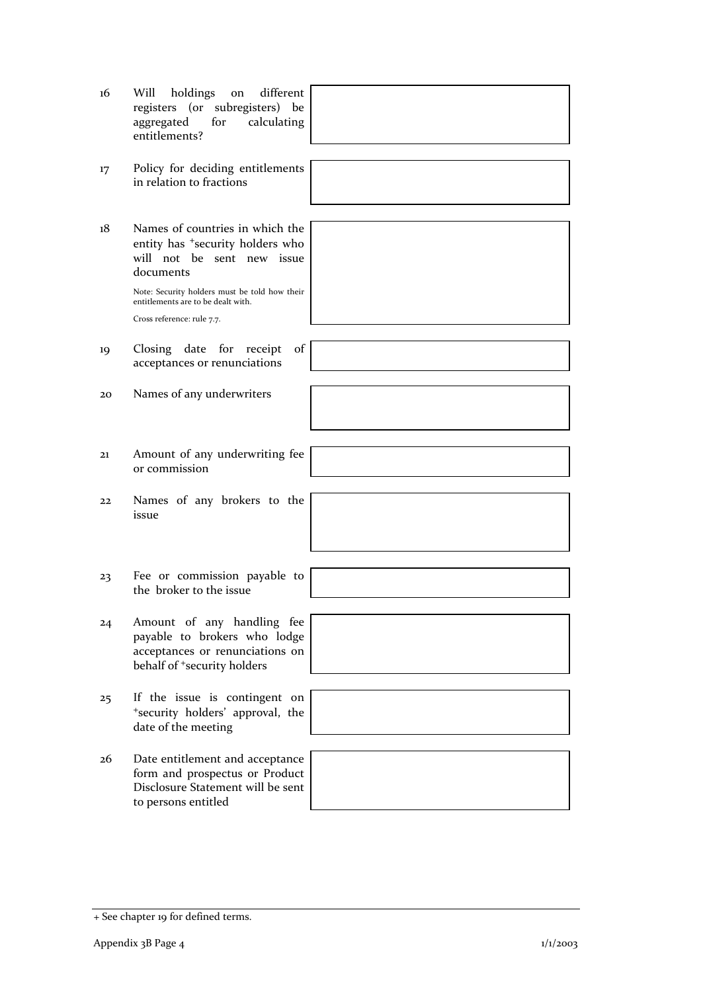| 16 | different<br>Will<br>holdings<br>on<br>registers (or subregisters) be<br>aggregated<br>for<br>calculating<br>entitlements?               |  |
|----|------------------------------------------------------------------------------------------------------------------------------------------|--|
|    |                                                                                                                                          |  |
| 17 | Policy for deciding entitlements<br>in relation to fractions                                                                             |  |
|    |                                                                                                                                          |  |
| 18 | Names of countries in which the<br>entity has <sup>+</sup> security holders who<br>will not be sent new issue<br>documents               |  |
|    | Note: Security holders must be told how their<br>entitlements are to be dealt with.                                                      |  |
|    | Cross reference: rule 7.7.                                                                                                               |  |
|    |                                                                                                                                          |  |
| 19 | Closing date for receipt<br>of<br>acceptances or renunciations                                                                           |  |
|    |                                                                                                                                          |  |
| 20 | Names of any underwriters                                                                                                                |  |
|    |                                                                                                                                          |  |
| 21 | Amount of any underwriting fee<br>or commission                                                                                          |  |
|    |                                                                                                                                          |  |
| 22 | Names of any brokers to the<br>issue                                                                                                     |  |
|    |                                                                                                                                          |  |
|    |                                                                                                                                          |  |
| 23 | Fee or commission payable to<br>the broker to the issue                                                                                  |  |
|    |                                                                                                                                          |  |
| 24 | Amount of any handling fee<br>payable to brokers who lodge<br>acceptances or renunciations on<br>behalf of <sup>+</sup> security holders |  |
|    |                                                                                                                                          |  |
| 25 | If the issue is contingent on<br>*security holders' approval, the<br>date of the meeting                                                 |  |
|    |                                                                                                                                          |  |
| 26 | Date entitlement and acceptance<br>form and prospectus or Product<br>Disclosure Statement will be sent<br>to persons entitled            |  |

<sup>+</sup> See chapter 19 for defined terms.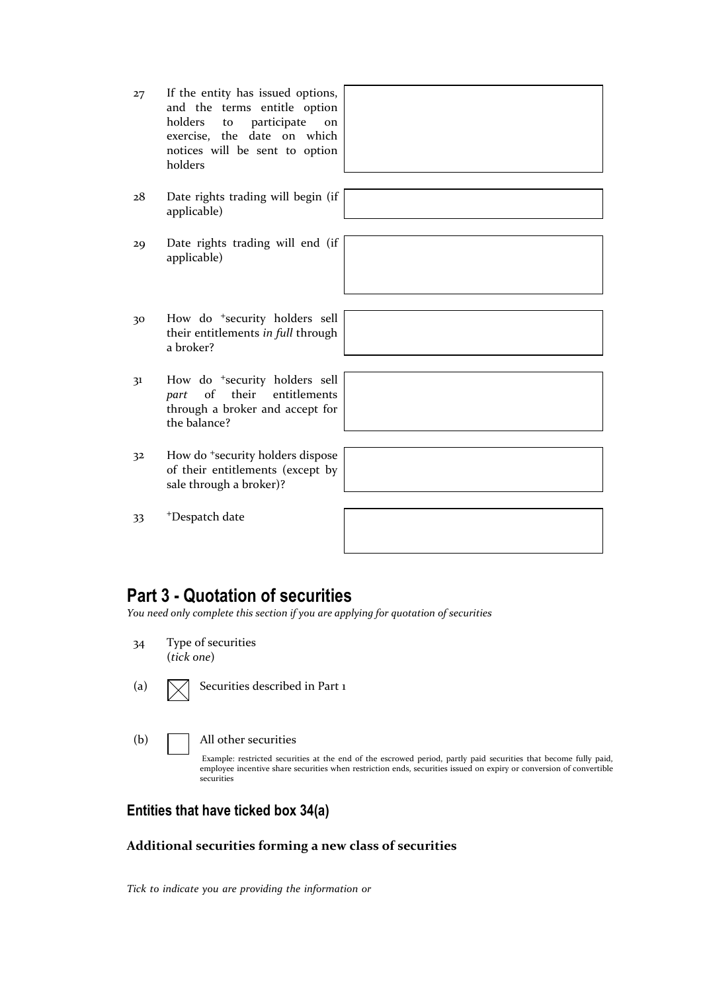| 27 | If the entity has issued options,<br>and the terms entitle option<br>holders to participate<br>on<br>exercise, the date on which<br>notices will be sent to option<br>holders |  |
|----|-------------------------------------------------------------------------------------------------------------------------------------------------------------------------------|--|
| 28 | Date rights trading will begin (if<br>applicable)                                                                                                                             |  |
| 29 | Date rights trading will end (if<br>applicable)                                                                                                                               |  |
| 30 | How do <sup>+</sup> security holders sell<br>their entitlements in full through<br>a broker?                                                                                  |  |
|    | $\mathbf{u}_{\alpha\alpha}$ de tecquity holdone coll                                                                                                                          |  |

- 31 How do <sup>+</sup>security holders sell part of their entitlements through a broker and accept for the balance?
- 32 How do <sup>+</sup>security holders dispose of their entitlements (except by sale through a broker)?
- 33 <sup>+</sup>Despatch date



## Part 3 - Quotation of securities

You need only complete this section if you are applying for quotation of securities

- 34 Type of securities (tick one)
- (a)  $\sqrt{\phantom{a}}$  Securities described in Part 1
- (b) All other securities

Example: restricted securities at the end of the escrowed period, partly paid securities that become fully paid, employee incentive share securities when restriction ends, securities issued on expiry or conversion of convertible securities

## Entities that have ticked box 34(a)

#### Additional securities forming a new class of securities

Tick to indicate you are providing the information or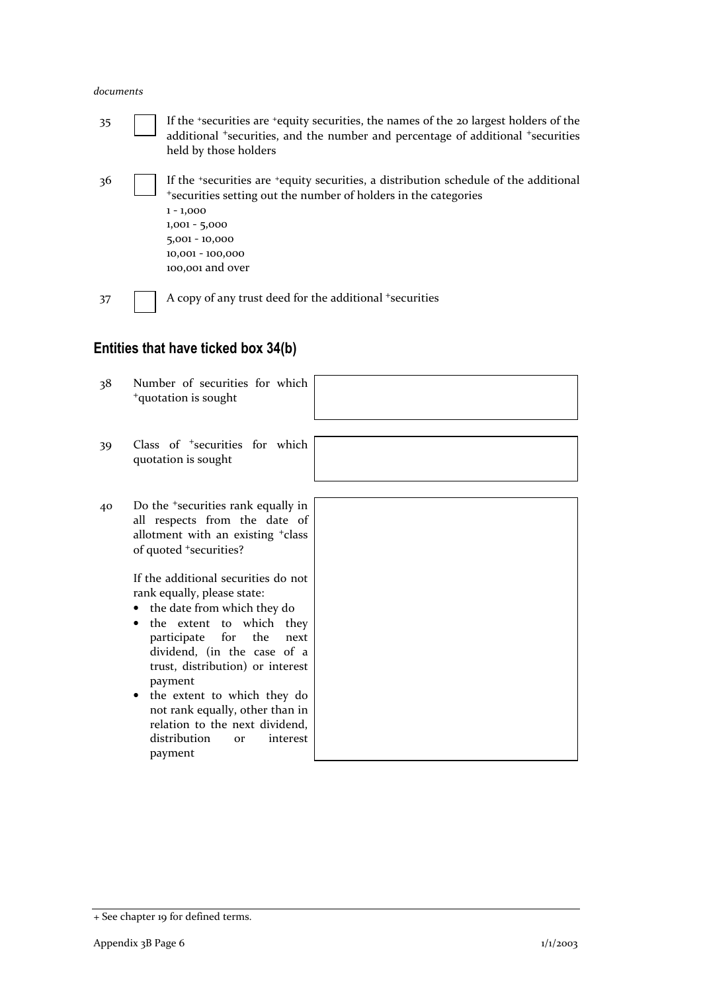#### documents

35 If the <sup>+</sup>securities are <sup>+</sup>equity securities, the names of the 20 largest holders of the additional <sup>+</sup>securities, and the number and percentage of additional <sup>+</sup>securities held by those holders 36 If the <sup>+</sup>securities are <sup>+</sup>equity securities, a distribution schedule of the additional <sup>+</sup>securities setting out the number of holders in the categories 1 - 1,000 1,001 - 5,000 5,001 - 10,000 10,001 - 100,000 100,001 and over 37 A copy of any trust deed for the additional +securities

### Entities that have ticked box 34(b)

- 38 Number of securities for which <sup>+</sup>quotation is sought
- 39 Class of <sup>+</sup>securities for which quotation is sought
- 40 Do the <sup>+</sup>securities rank equally in all respects from the date of allotment with an existing <sup>+</sup>class of quoted <sup>+</sup>securities?

If the additional securities do not rank equally, please state:

- the date from which they do
- the extent to which they participate for the next dividend, (in the case of a trust, distribution) or interest payment
- the extent to which they do not rank equally, other than in relation to the next dividend, distribution or interest payment



<sup>+</sup> See chapter 19 for defined terms.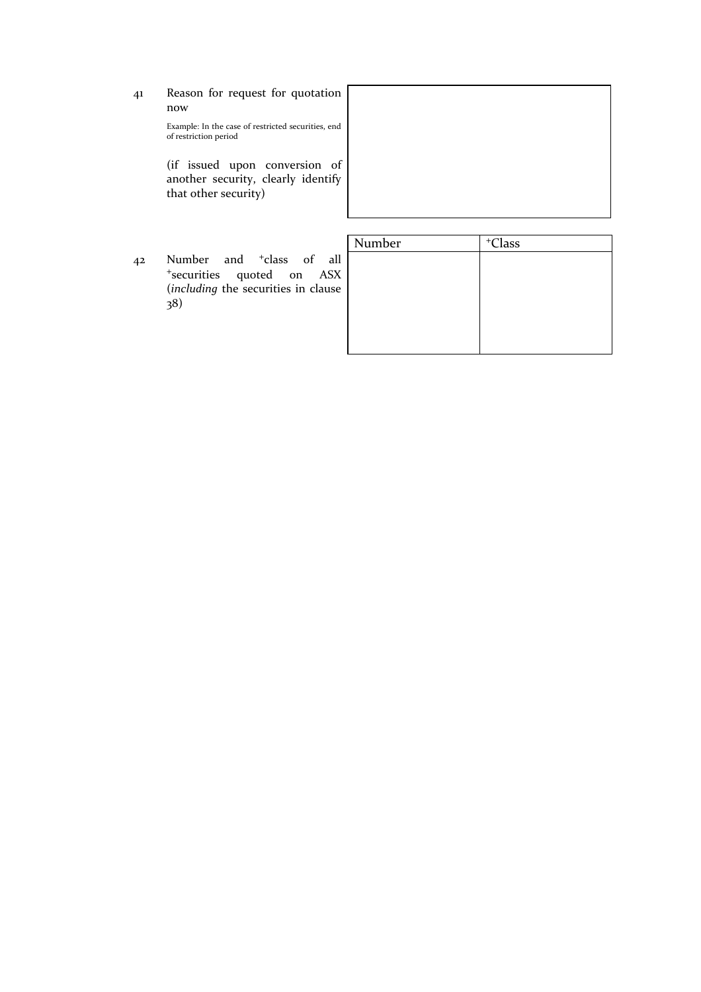41 Reason for request for quotation now

> Example: In the case of restricted securities, end of restriction period

> (if issued upon conversion of another security, clearly identify that other security)

| Number | +Class 42 Number and <sup>+</sup>class of all <sup>+</sup>securities quoted on ASX (including the securities in clause 38)

| Number | $+C$ lass |  |
|--------|-----------|--|
|        |           |  |
|        |           |  |
|        |           |  |
|        |           |  |